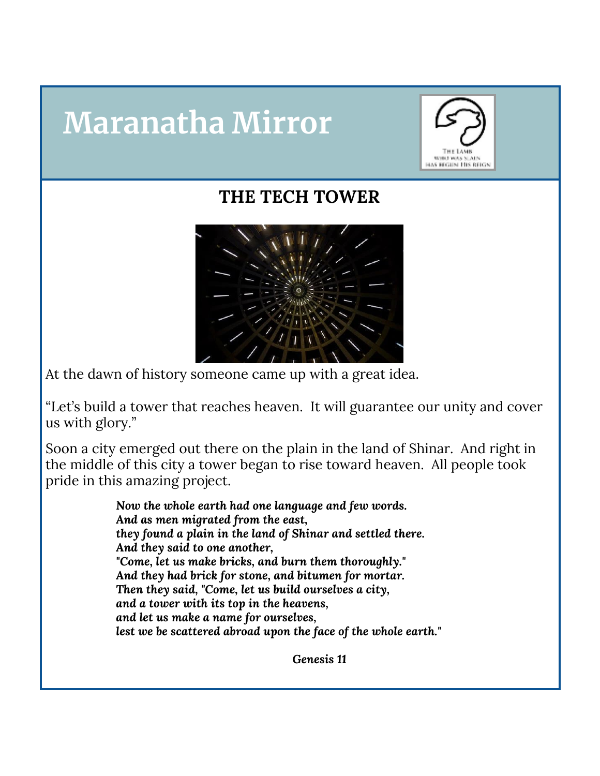## **Maranatha Mirror**



## **THE TECH TOWER**



At the dawn of history someone came up with a great idea.

"Let's build a tower that reaches heaven. It will guarantee our unity and cover us with glory."

Soon a city emerged out there on the plain in the land of Shinar. And right in the middle of this city a tower began to rise toward heaven. All people took pride in this amazing project.

> *Now the whole earth had one language and few words. And as men migrated from the east, they found a plain in the land of Shinar and settled there. And they said to one another, "Come, let us make bricks, and burn them thoroughly." And they had brick for stone, and bitumen for mortar. Then they said, "Come, let us build ourselves a city, and a tower with its top in the heavens, and let us make a name for ourselves, lest we be scattered abroad upon the face of the whole earth."*

> > *Genesis 11*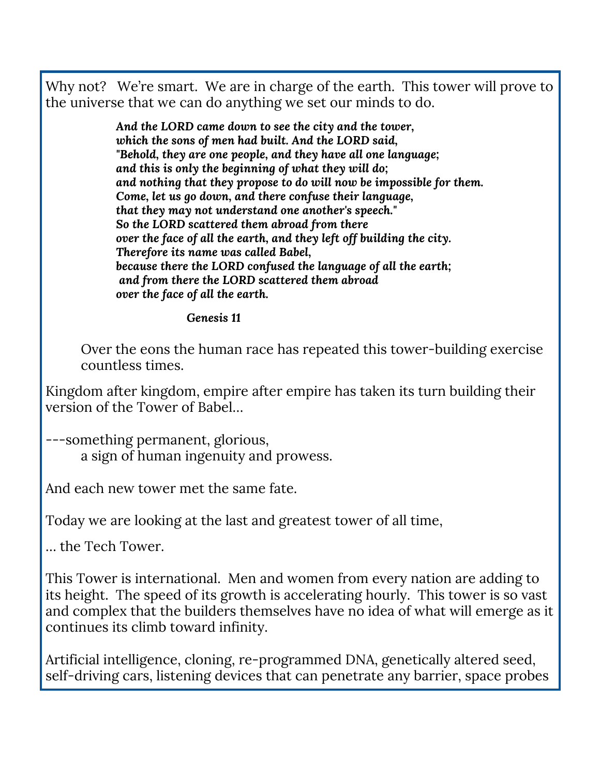Why not? We're smart. We are in charge of the earth. This tower will prove to the universe that we can do anything we set our minds to do.

> *And the LORD came down to see the city and the tower, which the sons of men had built. And the LORD said, "Behold, they are one people, and they have all one language; and this is only the beginning of what they will do; and nothing that they propose to do will now be impossible for them. Come, let us go down, and there confuse their language, that they may not understand one another's speech." So the LORD scattered them abroad from there over the face of all the earth, and they left off building the city. Therefore its name was called Babel, because there the LORD confused the language of all the earth; and from there the LORD scattered them abroad over the face of all the earth.*

## *Genesis 11*

Over the eons the human race has repeated this tower-building exercise countless times.

Kingdom after kingdom, empire after empire has taken its turn building their version of the Tower of Babel…

---something permanent, glorious, a sign of human ingenuity and prowess.

And each new tower met the same fate.

Today we are looking at the last and greatest tower of all time,

… the Tech Tower.

This Tower is international. Men and women from every nation are adding to its height. The speed of its growth is accelerating hourly. This tower is so vast and complex that the builders themselves have no idea of what will emerge as it continues its climb toward infinity.

Artificial intelligence, cloning, re-programmed DNA, genetically altered seed, self-driving cars, listening devices that can penetrate any barrier, space probes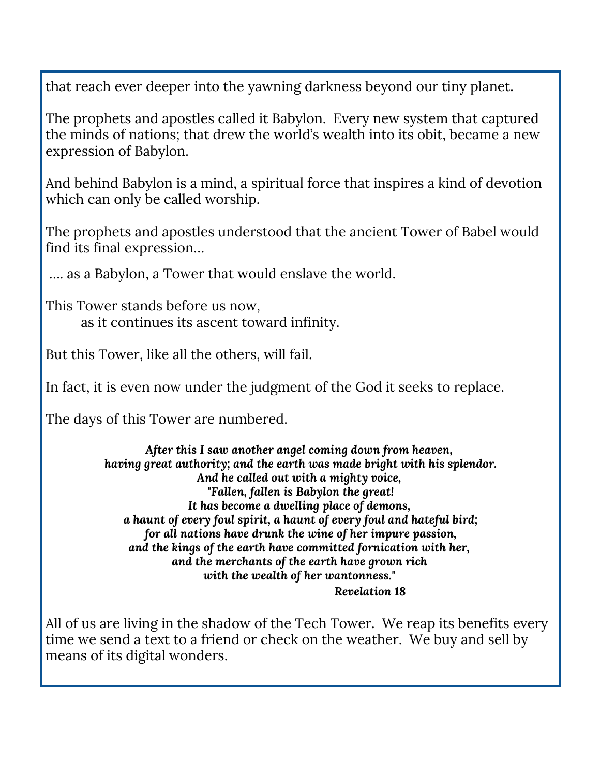that reach ever deeper into the yawning darkness beyond our tiny planet.

The prophets and apostles called it Babylon. Every new system that captured the minds of nations; that drew the world's wealth into its obit, became a new expression of Babylon.

And behind Babylon is a mind, a spiritual force that inspires a kind of devotion which can only be called worship.

The prophets and apostles understood that the ancient Tower of Babel would find its final expression…

…. as a Babylon, a Tower that would enslave the world.

This Tower stands before us now, as it continues its ascent toward infinity.

But this Tower, like all the others, will fail.

In fact, it is even now under the judgment of the God it seeks to replace.

The days of this Tower are numbered.

*After this I saw another angel coming down from heaven, having great authority; and the earth was made bright with his splendor. And he called out with a mighty voice, "Fallen, fallen is Babylon the great! It has become a dwelling place of demons, a haunt of every foul spirit, a haunt of every foul and hateful bird; for all nations have drunk the wine of her impure passion, and the kings of the earth have committed fornication with her, and the merchants of the earth have grown rich with the wealth of her wantonness." Revelation 18*

All of us are living in the shadow of the Tech Tower. We reap its benefits every time we send a text to a friend or check on the weather. We buy and sell by means of its digital wonders.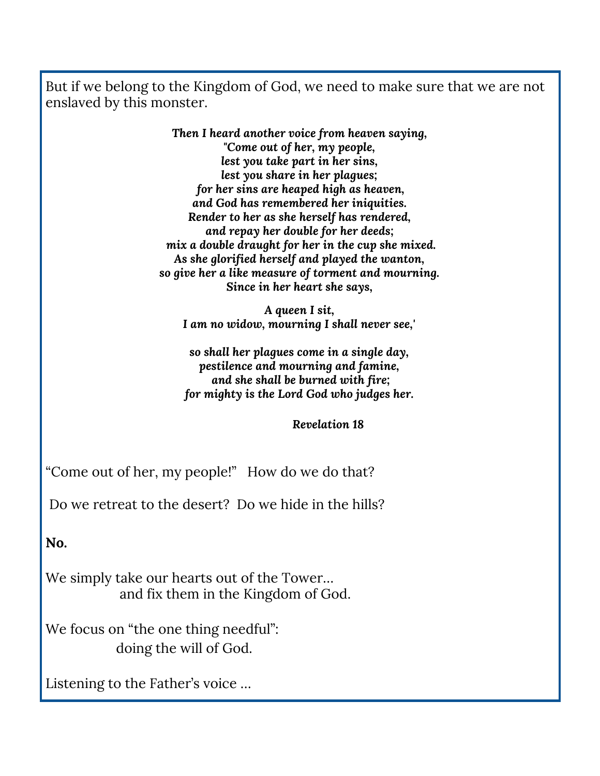But if we belong to the Kingdom of God, we need to make sure that we are not enslaved by this monster.

> *Then I heard another voice from heaven saying, "Come out of her, my people, lest you take part in her sins, lest you share in her plagues; for her sins are heaped high as heaven, and God has remembered her iniquities. Render to her as she herself has rendered, and repay her double for her deeds; mix a double draught for her in the cup she mixed. As she glorified herself and played the wanton, so give her a like measure of torment and mourning. Since in her heart she says,*

*A queen I sit, I am no widow, mourning I shall never see,'*

*so shall her plagues come in a single day, pestilence and mourning and famine, and she shall be burned with fire; for mighty is the Lord God who judges her.*

*Revelation 18*

"Come out of her, my people!" How do we do that?

Do we retreat to the desert? Do we hide in the hills?

**No.**

We simply take our hearts out of the Tower… and fix them in the Kingdom of God.

We focus on "the one thing needful": doing the will of God.

Listening to the Father's voice …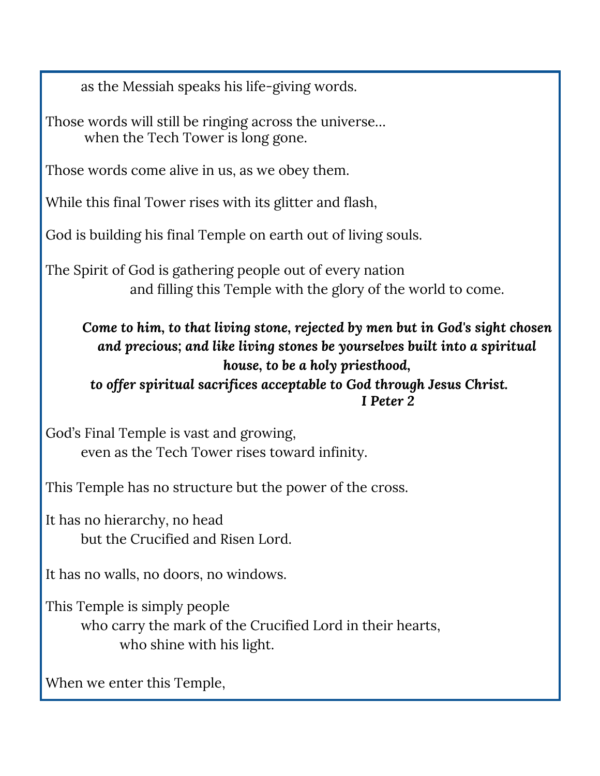as the Messiah speaks his life-giving words.

Those words will still be ringing across the universe… when the Tech Tower is long gone.

Those words come alive in us, as we obey them.

While this final Tower rises with its glitter and flash,

God is building his final Temple on earth out of living souls.

The Spirit of God is gathering people out of every nation and filling this Temple with the glory of the world to come.

*Come to him, to that living stone, rejected by men but in God's sight chosen and precious; and like living stones be yourselves built into a spiritual house, to be a holy priesthood,*

*to offer spiritual sacrifices acceptable to God through Jesus Christ. I Peter 2*

God's Final Temple is vast and growing, even as the Tech Tower rises toward infinity.

This Temple has no structure but the power of the cross.

It has no hierarchy, no head but the Crucified and Risen Lord.

It has no walls, no doors, no windows.

This Temple is simply people who carry the mark of the Crucified Lord in their hearts, who shine with his light.

When we enter this Temple,